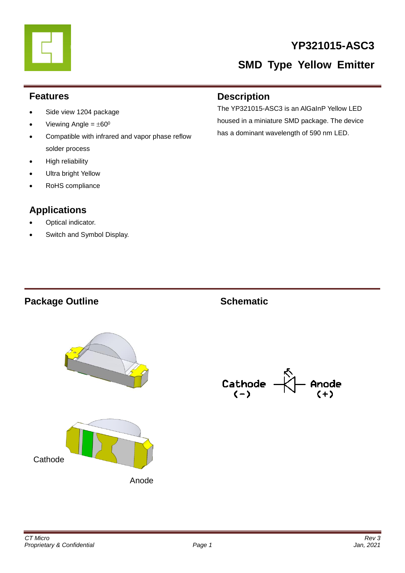# **YP321015-ASC3**

# **SMD Type Yellow Emitter**

#### **Features**

- Side view 1204 package
- Viewing Angle =  $\pm 60^{\circ}$
- Compatible with infrared and vapor phase reflow solder process
- High reliability
- Ultra bright Yellow
- RoHS compliance

#### **Applications**

- Optical indicator.
- Switch and Symbol Display.

#### **Description**

The YP321015-ASC3 is an AlGaInP Yellow LED housed in a miniature SMD package. The device has a dominant wavelength of 590 nm LED.

# Package Outline **Contact Schematic**







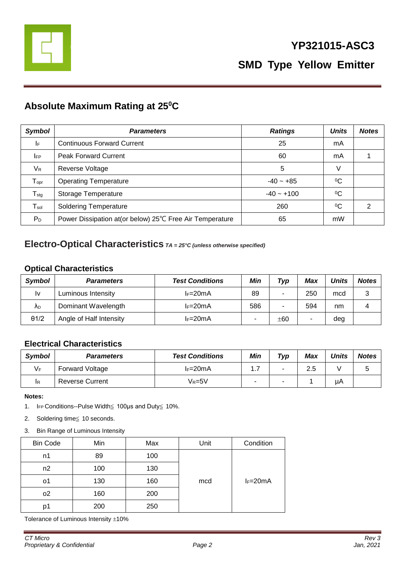

#### **Absolute Maximum Rating at 25<sup>0</sup>C**

| <b>Symbol</b>               | <b>Parameters</b>                                         | <b>Ratings</b> | <b>Units</b> | <b>Notes</b> |
|-----------------------------|-----------------------------------------------------------|----------------|--------------|--------------|
| I۴                          | <b>Continuous Forward Current</b>                         | 25             | mA           |              |
| <b>IFP</b>                  | <b>Peak Forward Current</b>                               | 60             | mA           |              |
| $V_{R}$                     | Reverse Voltage                                           | 5              | V            |              |
| $T_{\text{opt}}$            | <b>Operating Temperature</b>                              | $-40 - +85$    | $\rm ^{0}C$  |              |
| ${\mathsf T}_{\text{stg}}$  | Storage Temperature                                       | $-40 - +100$   | $\rm ^{0}C$  |              |
| $\mathsf{T}_{\mathsf{sol}}$ | <b>Soldering Temperature</b>                              | 260            | $^{0}C$      | 2            |
| $P_D$                       | Power Dissipation at (or below) 25°C Free Air Temperature | 65             | mW           |              |

#### **Electro-Optical Characteristics** *TA = 25°C (unless otherwise specified)*

#### **Optical Characteristics**

| Symbol       | <b>Parameters</b>       | <b>Test Conditions</b> | Min | Typ | Max | <b>Units</b> | <b>Notes</b> |
|--------------|-------------------------|------------------------|-----|-----|-----|--------------|--------------|
| l٧           | Luminous Intensity      | $l = 20mA$             | 89  | ۰   | 250 | mcd          | 3            |
| ΛD           | Dominant Wavelength     | $l = 20mA$             | 586 |     | 594 | nm           |              |
| $\theta$ 1/2 | Angle of Half Intensity | $l = 20mA$             |     | ±60 |     | deg          |              |

#### **Electrical Characteristics**

| <b>Symbol</b> | <b>Parameters</b>      | <b>Test Conditions</b> | Min    | Typ | Max | <b>Units</b> | <b>Notes</b> |
|---------------|------------------------|------------------------|--------|-----|-----|--------------|--------------|
| VF            | <b>Forward Voltage</b> | $I_F=20mA$             | ۱.۱    | -   | 2.5 |              |              |
| <b>IR</b>     | <b>Reverse Current</b> | Vr=5V                  | $\sim$ | -   |     | μA           |              |

**Notes:** 

- 1. IFP Conditions--Pulse Width≦ 100μs and Duty≦ 10%.
- 2. Soldering time≦ 10 seconds.
- 3. Bin Range of Luminous Intensity

| <b>Bin Code</b> | Min | Max | Unit | Condition  |
|-----------------|-----|-----|------|------------|
| n1              | 89  | 100 |      |            |
| n2              | 100 | 130 |      |            |
| о1              | 130 | 160 | mcd  | $I_F=20mA$ |
| 02              | 160 | 200 |      |            |
| D1              | 200 | 250 |      |            |

Tolerance of Luminous Intensity  $\pm 10\%$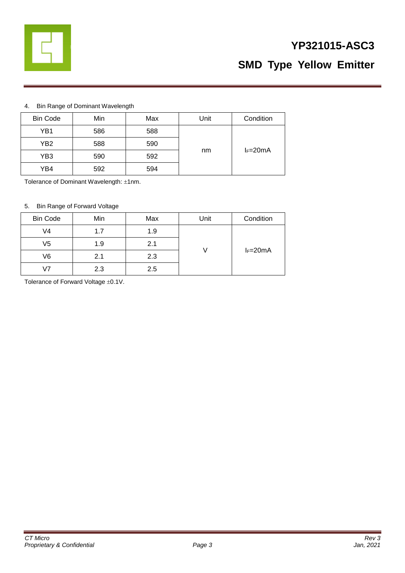

# **YP321015-ASC3 SMD Type Yellow Emitter**

#### 4. Bin Range of Dominant Wavelength

| <b>Bin Code</b> | Min | Max | Unit | Condition  |
|-----------------|-----|-----|------|------------|
| YB1             | 586 | 588 |      |            |
| YB2             | 588 | 590 |      |            |
| YB3             | 590 | 592 | nm   | $I_F=20mA$ |
| YB4             | 592 | 594 |      |            |

Tolerance of Dominant Wavelength: ±1nm.

#### 5. Bin Range of Forward Voltage

| <b>Bin Code</b> | Min | Max | Unit | Condition  |
|-----------------|-----|-----|------|------------|
| V4              | 1.7 | 1.9 |      |            |
| V5              | 1.9 | 2.1 |      |            |
| V6              | 2.1 | 2.3 |      | $I_F=20mA$ |
| 17              | 2.3 | 2.5 |      |            |

Tolerance of Forward Voltage  $\pm 0.1$ V.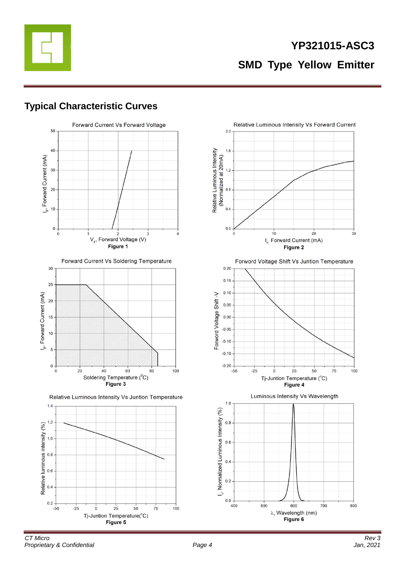

#### **Typical Characteristic Curves**





Relative Luminous Intensity Vs Juntion Temperature



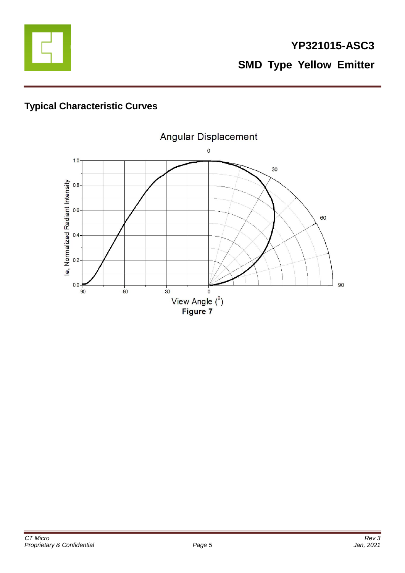

# **Typical Characteristic Curves**

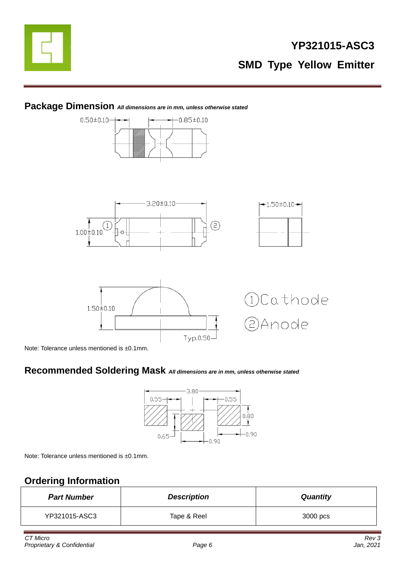



#### **Package Dimension** *All dimensions are in mm, unless otherwise stated*

Note: Tolerance unless mentioned is ±0.1mm.

#### **Recommended Soldering Mask** *All dimensions are in mm, unless otherwise stated*



Note: Tolerance unless mentioned is ±0.1mm.

# **Ordering Information**

| <b>Part Number</b> | <b>Description</b> | <b>Quantity</b> |
|--------------------|--------------------|-----------------|
| YP321015-ASC3      | Tape & Reel        | 3000 pcs        |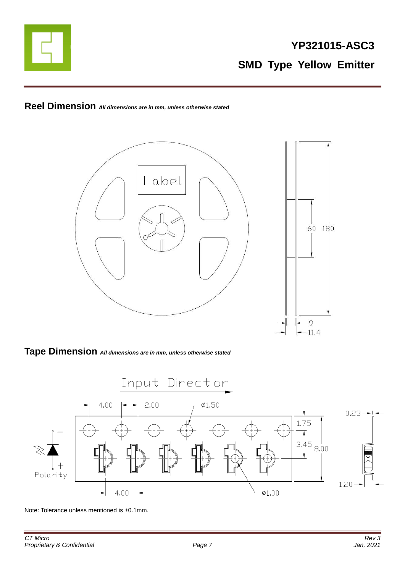

## **Reel Dimension** *All dimensions are in mm, unless otherwise stated*



#### **Tape Dimension** *All dimensions are in mm, unless otherwise stated*



Note: Tolerance unless mentioned is ±0.1mm.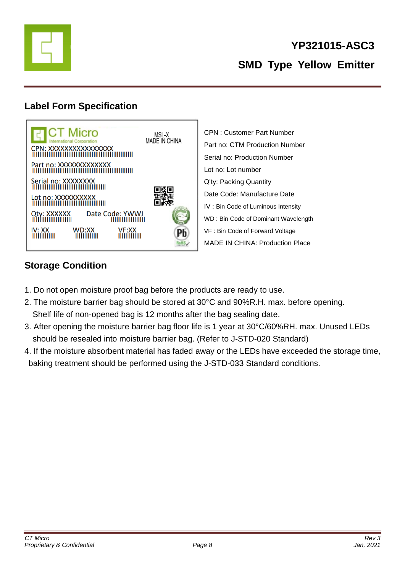

## **Label Form Specification**



CPN : Customer Part Number Part no: CTM Production Number Serial no: Production Number Lot no: Lot number Q'ty: Packing Quantity Date Code: Manufacture Date IV : Bin Code of Luminous Intensity WD : Bin Code of Dominant Wavelength VF : Bin Code of Forward Voltage MADE IN CHINA: Production Place

## **Storage Condition**

- 1. Do not open moisture proof bag before the products are ready to use.
- 2. The moisture barrier bag should be stored at 30°C and 90%R.H. max. before opening. Shelf life of non-opened bag is 12 months after the bag sealing date.
- 3. After opening the moisture barrier bag floor life is 1 year at 30°C/60%RH. max. Unused LEDs should be resealed into moisture barrier bag. (Refer to J-STD-020 Standard)
- 4. If the moisture absorbent material has faded away or the LEDs have exceeded the storage time, baking treatment should be performed using the J-STD-033 Standard conditions.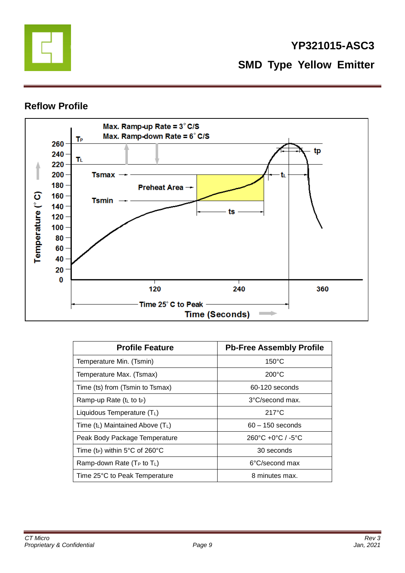

#### **Reflow Profile**



| <b>Profile Feature</b>                     | <b>Pb-Free Assembly Profile</b>                   |
|--------------------------------------------|---------------------------------------------------|
| Temperature Min. (Tsmin)                   | $150^{\circ}$ C                                   |
| Temperature Max. (Tsmax)                   | $200^{\circ}$ C                                   |
| Time (ts) from (Tsmin to Tsmax)            | 60-120 seconds                                    |
| Ramp-up Rate $(tL$ to t <sub>P</sub> )     | 3°C/second max.                                   |
| Liquidous Temperature (TL)                 | $217^{\circ}$ C                                   |
| Time $(t_L)$ Maintained Above $(T_L)$      | $60 - 150$ seconds                                |
| Peak Body Package Temperature              | $260^{\circ}$ C +0 $^{\circ}$ C / -5 $^{\circ}$ C |
| Time (t <sub>P</sub> ) within 5°C of 260°C | 30 seconds                                        |
| Ramp-down Rate ( $T_P$ to $T_L$ )          | 6°C/second max                                    |
| Time 25°C to Peak Temperature              | 8 minutes max.                                    |